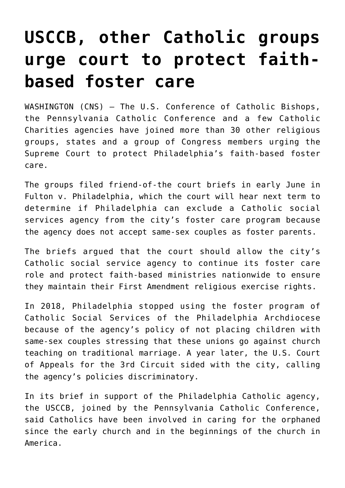## **[USCCB, other Catholic groups](https://www.osvnews.com/2020/06/09/usccb-other-catholic-groups-urge-court-to-protect-faith-based-foster-care/) [urge court to protect faith](https://www.osvnews.com/2020/06/09/usccb-other-catholic-groups-urge-court-to-protect-faith-based-foster-care/)[based foster care](https://www.osvnews.com/2020/06/09/usccb-other-catholic-groups-urge-court-to-protect-faith-based-foster-care/)**

WASHINGTON (CNS) — The U.S. Conference of Catholic Bishops, the Pennsylvania Catholic Conference and a few Catholic Charities agencies have joined more than 30 other religious groups, states and a group of Congress members urging the Supreme Court to protect Philadelphia's faith-based foster care.

The groups filed friend-of-the court briefs in early June in Fulton v. Philadelphia, which the court will hear next term to determine if Philadelphia can exclude a Catholic social services agency from the city's foster care program because the agency does not accept same-sex couples as foster parents.

The briefs argued that the court should allow the city's Catholic social service agency to continue its foster care role and protect faith-based ministries nationwide to ensure they maintain their First Amendment religious exercise rights.

In 2018, Philadelphia stopped using the foster program of Catholic Social Services of the Philadelphia Archdiocese because of the agency's policy of not placing children with same-sex couples stressing that these unions go against church teaching on traditional marriage. A year later, the U.S. Court of Appeals for the 3rd Circuit sided with the city, calling the agency's policies discriminatory.

In its brief in support of the Philadelphia Catholic agency, the USCCB, joined by the Pennsylvania Catholic Conference, said Catholics have been involved in caring for the orphaned since the early church and in the beginnings of the church in America.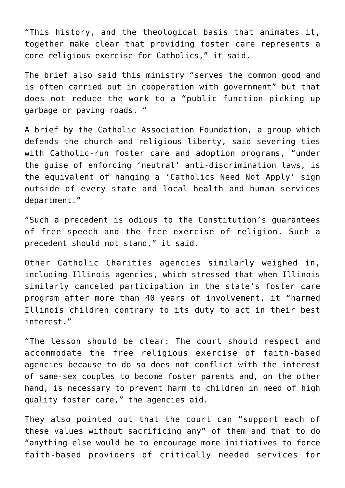"This history, and the theological basis that animates it, together make clear that providing foster care represents a core religious exercise for Catholics," it said.

The brief also said this ministry "serves the common good and is often carried out in cooperation with government" but that does not reduce the work to a "public function picking up garbage or paving roads. "

A brief by the Catholic Association Foundation, a group which defends the church and religious liberty, said severing ties with Catholic-run foster care and adoption programs, "under the guise of enforcing 'neutral' anti-discrimination laws, is the equivalent of hanging a 'Catholics Need Not Apply' sign outside of every state and local health and human services department."

"Such a precedent is odious to the Constitution's guarantees of free speech and the free exercise of religion. Such a precedent should not stand," it said.

Other Catholic Charities agencies similarly weighed in, including Illinois agencies, which stressed that when Illinois similarly canceled participation in the state's foster care program after more than 40 years of involvement, it "harmed Illinois children contrary to its duty to act in their best interest."

"The lesson should be clear: The court should respect and accommodate the free religious exercise of faith-based agencies because to do so does not conflict with the interest of same-sex couples to become foster parents and, on the other hand, is necessary to prevent harm to children in need of high quality foster care," the agencies aid.

They also pointed out that the court can "support each of these values without sacrificing any" of them and that to do "anything else would be to encourage more initiatives to force faith-based providers of critically needed services for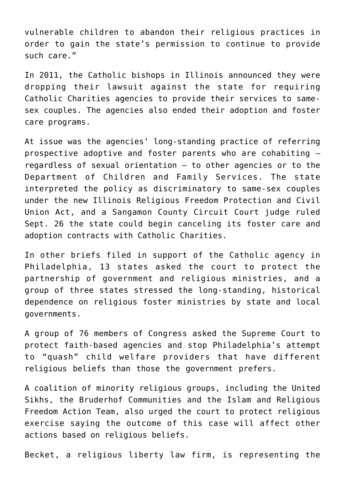vulnerable children to abandon their religious practices in order to gain the state's permission to continue to provide such care."

In 2011, the Catholic bishops in Illinois announced they were dropping their lawsuit against the state for requiring Catholic Charities agencies to provide their services to samesex couples. The agencies also ended their adoption and foster care programs.

At issue was the agencies' long-standing practice of referring prospective adoptive and foster parents who are cohabiting regardless of sexual orientation — to other agencies or to the Department of Children and Family Services. The state interpreted the policy as discriminatory to same-sex couples under the new Illinois Religious Freedom Protection and Civil Union Act, and a Sangamon County Circuit Court judge ruled Sept. 26 the state could begin canceling its foster care and adoption contracts with Catholic Charities.

In other briefs filed in support of the Catholic agency in Philadelphia, 13 states asked the court to protect the partnership of government and religious ministries, and a group of three states stressed the long-standing, historical dependence on religious foster ministries by state and local governments.

A group of 76 members of Congress asked the Supreme Court to protect faith-based agencies and stop Philadelphia's attempt to "quash" child welfare providers that have different religious beliefs than those the government prefers.

A coalition of minority religious groups, including the United Sikhs, the Bruderhof Communities and the Islam and Religious Freedom Action Team, also urged the court to protect religious exercise saying the outcome of this case will affect other actions based on religious beliefs.

Becket, a religious liberty law firm, is representing the